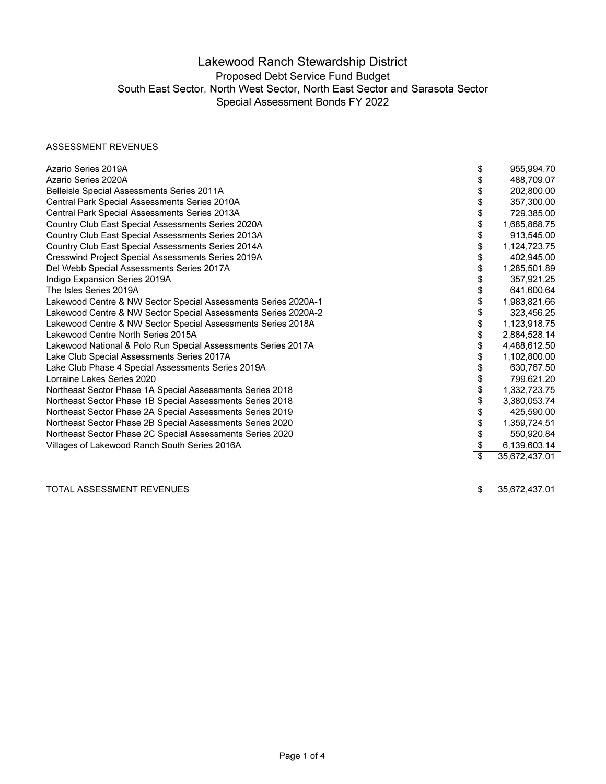#### ASSESSMENT REVENUES

| Azario Series 2019A                                            | \$<br>955,994.70    |
|----------------------------------------------------------------|---------------------|
| Azario Series 2020A                                            | 488,709.07          |
| Belleisle Special Assessments Series 2011A                     | 202,800.00          |
| Central Park Special Assessments Series 2010A                  | 357,300.00          |
| Central Park Special Assessments Series 2013A                  | 729,385.00          |
| Country Club East Special Assessments Series 2020A             | 1,685,868.75        |
| Country Club East Special Assessments Series 2013A             | 913,545.00          |
| Country Club East Special Assessments Series 2014A             | 1,124,723.75        |
| <b>Cresswind Project Special Assessments Series 2019A</b>      | 402,945.00          |
| Del Webb Special Assessments Series 2017A                      | 1,285,501.89        |
| Indigo Expansion Series 2019A                                  | 357,921.25          |
| The Isles Series 2019A                                         | 641,600.64          |
| Lakewood Centre & NW Sector Special Assessments Series 2020A-1 | 1,983,821.66        |
| Lakewood Centre & NW Sector Special Assessments Series 2020A-2 | 323,456.25          |
| Lakewood Centre & NW Sector Special Assessments Series 2018A   | 1,123,918.75        |
| Lakewood Centre North Series 2015A                             | 2,884,528.14        |
| Lakewood National & Polo Run Special Assessments Series 2017A  | 4,488,612.50        |
| Lake Club Special Assessments Series 2017A                     | 1,102,800.00        |
| Lake Club Phase 4 Special Assessments Series 2019A             | 630,767.50          |
| Lorraine Lakes Series 2020                                     | 799,621.20          |
| Northeast Sector Phase 1A Special Assessments Series 2018      | 1,332,723.75        |
| Northeast Sector Phase 1B Special Assessments Series 2018      | 3,380,053.74        |
| Northeast Sector Phase 2A Special Assessments Series 2019      | 425,590.00          |
| Northeast Sector Phase 2B Special Assessments Series 2020      | 1,359,724.51        |
| Northeast Sector Phase 2C Special Assessments Series 2020      | 550,920.84          |
| Villages of Lakewood Ranch South Series 2016A                  | 6,139,603.14        |
|                                                                | \$<br>35,672,437.01 |

TOTAL ASSESSMENT REVENUES

\$ 35,672,437.01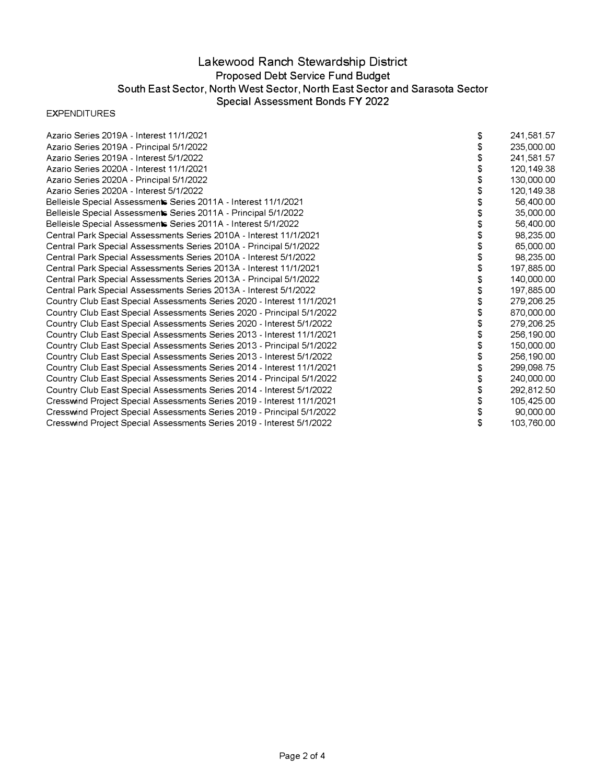#### EXPENDITURES

| Azario Series 2019A - Interest 11/1/2021                               | \$<br>241,581.57 |
|------------------------------------------------------------------------|------------------|
| Azario Series 2019A - Principal 5/1/2022                               | 235,000.00       |
| Azario Series 2019A - Interest 5/1/2022                                | 241,581.57       |
| Azario Series 2020A - Interest 11/1/2021                               | 120,149.38       |
| Azario Series 2020A - Principal 5/1/2022                               | 130,000.00       |
| Azario Series 2020A - Interest 5/1/2022                                | 120,149.38       |
| Belleisle Special Assessments Series 2011A - Interest 11/1/2021        | 56,400.00        |
| Belleisle Special Assessments Series 2011A - Principal 5/1/2022        | 35,000.00        |
| Belleisle Special Assessments Series 2011A - Interest 5/1/2022         | 56,400.00        |
| Central Park Special Assessments Series 2010A - Interest 11/1/2021     | 98,235.00        |
| Central Park Special Assessments Series 2010A - Principal 5/1/2022     | 65,000.00        |
| Central Park Special Assessments Series 2010A - Interest 5/1/2022      | 98,235.00        |
| Central Park Special Assessments Series 2013A - Interest 11/1/2021     | 197,885.00       |
| Central Park Special Assessments Series 2013A - Principal 5/1/2022     | 140,000.00       |
| Central Park Special Assessments Series 2013A - Interest 5/1/2022      | 197,885.00       |
| Country Club East Special Assessments Series 2020 - Interest 11/1/2021 | 279,206.25       |
| Country Club East Special Assessments Series 2020 - Principal 5/1/2022 | 870,000.00       |
| Country Club East Special Assessments Series 2020 - Interest 5/1/2022  | 279,206.25       |
| Country Club East Special Assessments Series 2013 - Interest 11/1/2021 | 256,190.00       |
| Country Club East Special Assessments Series 2013 - Principal 5/1/2022 | \$<br>150,000.00 |
| Country Club East Special Assessments Series 2013 - Interest 5/1/2022  | 256,190.00       |
| Country Club East Special Assessments Series 2014 - Interest 11/1/2021 | 299,098.75       |
| Country Club East Special Assessments Series 2014 - Principal 5/1/2022 | 240,000.00       |
| Country Club East Special Assessments Series 2014 - Interest 5/1/2022  | \$<br>292,812.50 |
| Cresswind Project Special Assessments Series 2019 - Interest 11/1/2021 | 105,425.00       |
| Cresswind Project Special Assessments Series 2019 - Principal 5/1/2022 | 90,000.00        |
| Cresswind Project Special Assessments Series 2019 - Interest 5/1/2022  | \$<br>103,760.00 |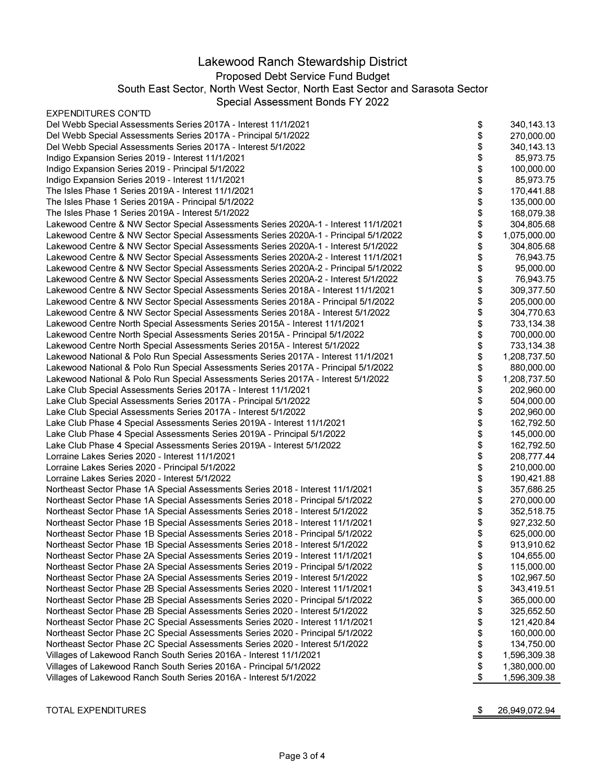#### EXPENDITURES CONTD

| Del Webb Special Assessments Series 2017A - Interest 11/1/2021                      | \$     | 340,143.13   |
|-------------------------------------------------------------------------------------|--------|--------------|
| Del Webb Special Assessments Series 2017A - Principal 5/1/2022                      | \$     | 270,000.00   |
| Del Webb Special Assessments Series 2017A - Interest 5/1/2022                       | \$     | 340,143.13   |
| Indigo Expansion Series 2019 - Interest 11/1/2021                                   | \$     | 85,973.75    |
| Indigo Expansion Series 2019 - Principal 5/1/2022                                   | \$     | 100,000.00   |
| Indigo Expansion Series 2019 - Interest 11/1/2021                                   | \$     | 85,973.75    |
| The Isles Phase 1 Series 2019A - Interest 11/1/2021                                 | \$     | 170,441.88   |
| The Isles Phase 1 Series 2019A - Principal 5/1/2022                                 | \$     | 135,000.00   |
| The Isles Phase 1 Series 2019A - Interest 5/1/2022                                  | \$     | 168,079.38   |
| Lakewood Centre & NW Sector Special Assessments Series 2020A-1 - Interest 11/1/2021 | \$     | 304,805.68   |
| Lakewood Centre & NW Sector Special Assessments Series 2020A-1 - Principal 5/1/2022 | \$     | 1,075,000.00 |
| Lakewood Centre & NW Sector Special Assessments Series 2020A-1 - Interest 5/1/2022  | \$     | 304,805.68   |
| Lakewood Centre & NW Sector Special Assessments Series 2020A-2 - Interest 11/1/2021 | \$     | 76,943.75    |
| Lakewood Centre & NW Sector Special Assessments Series 2020A-2 - Principal 5/1/2022 | \$     | 95,000.00    |
| Lakewood Centre & NW Sector Special Assessments Series 2020A-2 - Interest 5/1/2022  | \$     | 76,943.75    |
|                                                                                     |        | 309,377.50   |
| Lakewood Centre & NW Sector Special Assessments Series 2018A - Interest 11/1/2021   | \$     |              |
| Lakewood Centre & NW Sector Special Assessments Series 2018A - Principal 5/1/2022   | \$     | 205,000.00   |
| Lakewood Centre & NW Sector Special Assessments Series 2018A - Interest 5/1/2022    | \$     | 304,770.63   |
| Lakewood Centre North Special Assessments Series 2015A - Interest 11/1/2021         | \$     | 733,134.38   |
| Lakewood Centre North Special Assessments Series 2015A - Principal 5/1/2022         | \$     | 700,000.00   |
| Lakewood Centre North Special Assessments Series 2015A - Interest 5/1/2022          | \$     | 733,134.38   |
| Lakewood National & Polo Run Special Assessments Series 2017A - Interest 11/1/2021  | \$     | 1,208,737.50 |
| Lakewood National & Polo Run Special Assessments Series 2017A - Principal 5/1/2022  | \$     | 880,000.00   |
| Lakewood National & Polo Run Special Assessments Series 2017A - Interest 5/1/2022   | \$     | 1,208,737.50 |
| Lake Club Special Assessments Series 2017A - Interest 11/1/2021                     | \$     | 202,960.00   |
| Lake Club Special Assessments Series 2017A - Principal 5/1/2022                     | \$     | 504,000.00   |
| Lake Club Special Assessments Series 2017A - Interest 5/1/2022                      | \$     | 202,960.00   |
| Lake Club Phase 4 Special Assessments Series 2019A - Interest 11/1/2021             |        | 162,792.50   |
| Lake Club Phase 4 Special Assessments Series 2019A - Principal 5/1/2022             |        | 145,000.00   |
| Lake Club Phase 4 Special Assessments Series 2019A - Interest 5/1/2022              | \$\$\$ | 162,792.50   |
| Lorraine Lakes Series 2020 - Interest 11/1/2021                                     |        | 208,777.44   |
| Lorraine Lakes Series 2020 - Principal 5/1/2022                                     | \$     | 210,000.00   |
| Lorraine Lakes Series 2020 - Interest 5/1/2022                                      | \$     | 190,421.88   |
| Northeast Sector Phase 1A Special Assessments Series 2018 - Interest 11/1/2021      | \$\$   | 357,686.25   |
| Northeast Sector Phase 1A Special Assessments Series 2018 - Principal 5/1/2022      |        | 270,000.00   |
| Northeast Sector Phase 1A Special Assessments Series 2018 - Interest 5/1/2022       |        | 352,518.75   |
| Northeast Sector Phase 1B Special Assessments Series 2018 - Interest 11/1/2021      | \$     | 927,232.50   |
| Northeast Sector Phase 1B Special Assessments Series 2018 - Principal 5/1/2022      | \$     | 625,000.00   |
| Northeast Sector Phase 1B Special Assessments Series 2018 - Interest 5/1/2022       | \$     | 913,910.62   |
| Northeast Sector Phase 2A Special Assessments Series 2019 - Interest 11/1/2021      | \$     | 104,655.00   |
| Northeast Sector Phase 2A Special Assessments Series 2019 - Principal 5/1/2022      | \$     | 115,000.00   |
| Northeast Sector Phase 2A Special Assessments Series 2019 - Interest 5/1/2022       | \$     | 102,967.50   |
| Northeast Sector Phase 2B Special Assessments Series 2020 - Interest 11/1/2021      | \$     | 343,419.51   |
| Northeast Sector Phase 2B Special Assessments Series 2020 - Principal 5/1/2022      | \$     | 365,000.00   |
| Northeast Sector Phase 2B Special Assessments Series 2020 - Interest 5/1/2022       | \$     | 325,652.50   |
| Northeast Sector Phase 2C Special Assessments Series 2020 - Interest 11/1/2021      | \$     | 121,420.84   |
| Northeast Sector Phase 2C Special Assessments Series 2020 - Principal 5/1/2022      | \$     | 160,000.00   |
| Northeast Sector Phase 2C Special Assessments Series 2020 - Interest 5/1/2022       | \$     | 134,750.00   |
| Villages of Lakewood Ranch South Series 2016A - Interest 11/1/2021                  | \$     | 1,596,309.38 |
| Villages of Lakewood Ranch South Series 2016A - Principal 5/1/2022                  | \$     | 1,380,000.00 |
| Villages of Lakewood Ranch South Series 2016A - Interest 5/1/2022                   | \$     | 1,596,309.38 |
|                                                                                     |        |              |